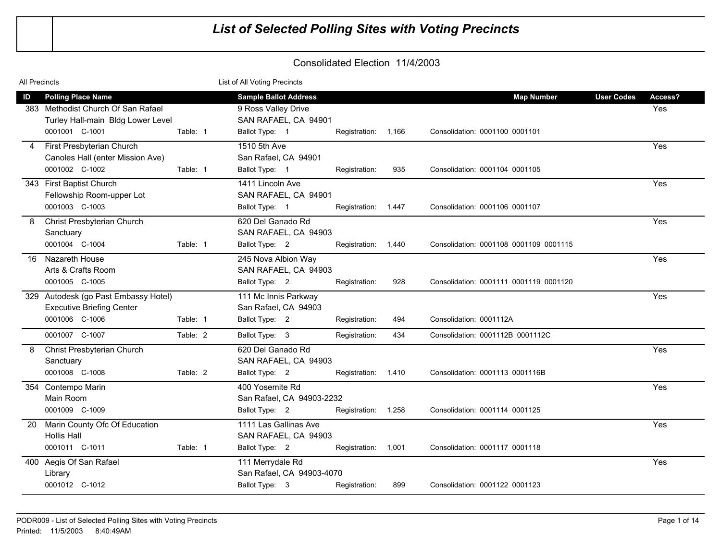| All Precincts                                                                                                                            | List of All Voting Precincts                                                                                                                                                                        |                                     |
|------------------------------------------------------------------------------------------------------------------------------------------|-----------------------------------------------------------------------------------------------------------------------------------------------------------------------------------------------------|-------------------------------------|
| ID<br><b>Polling Place Name</b><br>383 Methodist Church Of San Rafael<br>Turley Hall-main Bldg Lower Level<br>0001001 C-1001<br>Table: 1 | <b>Sample Ballot Address</b><br><b>Map Number</b><br>9 Ross Valley Drive<br>SAN RAFAEL, CA 94901<br>Ballot Type: 1<br>Consolidation: 0001100 0001101<br>Registration: 1,166                         | <b>User Codes</b><br>Access?<br>Yes |
| First Presbyterian Church<br>4<br>Canoles Hall (enter Mission Ave)<br>0001002 C-1002<br>Table: 1                                         | 1510 5th Ave<br>San Rafael, CA 94901<br>Ballot Type: 1<br>935<br>Consolidation: 0001104 0001105<br>Registration:                                                                                    | Yes                                 |
| 343 First Baptist Church<br>Fellowship Room-upper Lot<br>0001003 C-1003                                                                  | 1411 Lincoln Ave<br>SAN RAFAEL, CA 94901<br>Ballot Type: 1<br>Registration: 1,447<br>Consolidation: 0001106 0001107                                                                                 | Yes                                 |
| Christ Presbyterian Church<br>8<br>Sanctuary<br>0001004 C-1004<br>Table: 1                                                               | 620 Del Ganado Rd<br>SAN RAFAEL, CA 94903<br>Ballot Type: 2<br>Consolidation: 0001108 0001109 0001115<br>Registration: 1,440                                                                        | Yes                                 |
| Nazareth House<br>16<br>Arts & Crafts Room<br>0001005 C-1005                                                                             | 245 Nova Albion Way<br>SAN RAFAEL, CA 94903<br>Ballot Type: 2<br>928<br>Registration:<br>Consolidation: 0001111 0001119 0001120                                                                     | Yes                                 |
| 329 Autodesk (go Past Embassy Hotel)<br><b>Executive Briefing Center</b><br>0001006 C-1006<br>Table: 1                                   | 111 Mc Innis Parkway<br>San Rafael, CA 94903<br>Ballot Type: 2<br>Registration:<br>494<br>Consolidation: 0001112A                                                                                   | Yes                                 |
| 0001007 C-1007<br>Table: 2<br>Christ Presbyterian Church<br>8<br>Sanctuary                                                               | Ballot Type: 3<br>Registration:<br>434<br>Consolidation: 0001112B 0001112C<br>620 Del Ganado Rd<br>SAN RAFAEL, CA 94903                                                                             | Yes                                 |
| 0001008 C-1008<br>Table: 2<br>354 Contempo Marin<br>Main Room<br>0001009 C-1009                                                          | Ballot Type: 2<br>Registration: 1,410<br>Consolidation: 0001113 0001116B<br>400 Yosemite Rd<br>San Rafael, CA 94903-2232<br>Ballot Type: 2<br>Consolidation: 0001114 0001125<br>Registration: 1,258 | Yes                                 |
| Marin County Ofc Of Education<br><b>20</b><br><b>Hollis Hall</b><br>0001011 C-1011<br>Table: 1                                           | 1111 Las Gallinas Ave<br>SAN RAFAEL, CA 94903<br>Ballot Type: 2<br>Registration: 1,001<br>Consolidation: 0001117 0001118                                                                            | Yes                                 |
| Aegis Of San Rafael<br>400<br>Library<br>0001012 C-1012                                                                                  | 111 Merrydale Rd<br>San Rafael, CA 94903-4070<br>Ballot Type: 3<br>899<br>Consolidation: 0001122 0001123<br>Registration:                                                                           | Yes                                 |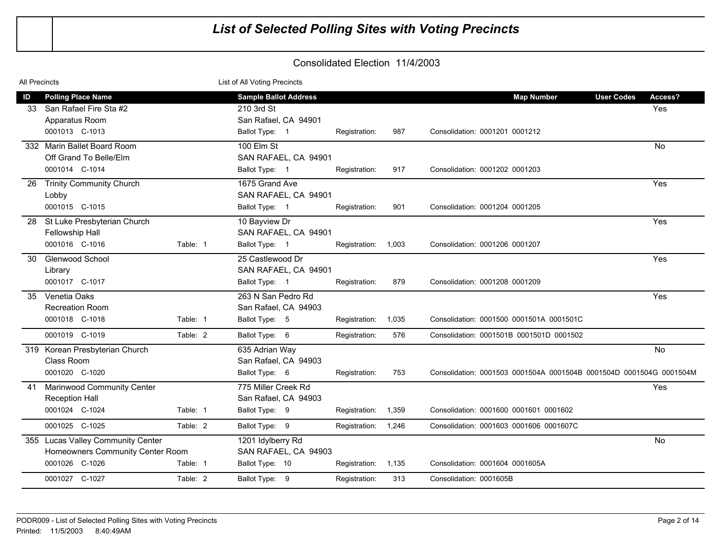| All Precincts |                                                                       |          | List of All Voting Precincts                |                     |       |                                                                     |         |
|---------------|-----------------------------------------------------------------------|----------|---------------------------------------------|---------------------|-------|---------------------------------------------------------------------|---------|
| ID            | <b>Polling Place Name</b>                                             |          | <b>Sample Ballot Address</b>                |                     |       | <b>User Codes</b><br><b>Map Number</b>                              | Access? |
| 33.           | San Rafael Fire Sta #2<br>Apparatus Room                              |          | 210 3rd St<br>San Rafael, CA 94901          |                     |       |                                                                     | Yes     |
|               | 0001013 C-1013                                                        |          | Ballot Type: 1                              | Registration:       | 987   | Consolidation: 0001201 0001212                                      |         |
|               | 332 Marin Ballet Board Room<br>Off Grand To Belle/Elm                 |          | 100 Elm St<br>SAN RAFAEL, CA 94901          |                     |       |                                                                     | No      |
|               | 0001014 C-1014                                                        |          | Ballot Type: 1                              | Registration:       | 917   | Consolidation: 0001202 0001203                                      |         |
| 26            | <b>Trinity Community Church</b><br>Lobby                              |          | 1675 Grand Ave<br>SAN RAFAEL, CA 94901      |                     |       |                                                                     | Yes     |
|               | 0001015 C-1015                                                        |          | Ballot Type: 1                              | Registration:       | 901   | Consolidation: 0001204 0001205                                      |         |
| 28            | St Luke Presbyterian Church<br>Fellowship Hall                        |          | 10 Bayview Dr<br>SAN RAFAEL, CA 94901       |                     |       |                                                                     | Yes     |
|               | 0001016 C-1016                                                        | Table: 1 | Ballot Type: 1                              | Registration: 1,003 |       | Consolidation: 0001206 0001207                                      |         |
| 30            | <b>Glenwood School</b><br>Library                                     |          | 25 Castlewood Dr<br>SAN RAFAEL, CA 94901    |                     |       |                                                                     | Yes     |
|               | 0001017 C-1017                                                        |          | Ballot Type: 1                              | Registration:       | 879   | Consolidation: 0001208 0001209                                      |         |
| 35            | Venetia Oaks<br><b>Recreation Room</b>                                |          | 263 N San Pedro Rd<br>San Rafael, CA 94903  |                     |       |                                                                     | Yes     |
|               | 0001018 C-1018                                                        | Table: 1 | Ballot Type: 5                              | Registration:       | 1,035 | Consolidation: 0001500 0001501A 0001501C                            |         |
|               | 0001019 C-1019                                                        | Table: 2 | Ballot Type: 6                              | Registration:       | 576   | Consolidation: 0001501B 0001501D 0001502                            |         |
|               | 319 Korean Presbyterian Church<br>Class Room                          |          | 635 Adrian Way<br>San Rafael, CA 94903      |                     |       |                                                                     | No      |
|               | 0001020 C-1020                                                        |          | Ballot Type: 6                              | Registration:       | 753   | Consolidation: 0001503 0001504A 0001504B 0001504D 0001504G 0001504M |         |
| 41            | Marinwood Community Center<br><b>Reception Hall</b>                   |          | 775 Miller Creek Rd<br>San Rafael, CA 94903 |                     |       |                                                                     | Yes     |
|               | 0001024 C-1024                                                        | Table: 1 | Ballot Type: 9                              | Registration:       | 1,359 | Consolidation: 0001600 0001601 0001602                              |         |
|               | 0001025 C-1025                                                        | Table: 2 | Ballot Type: 9                              | Registration:       | 1,246 | Consolidation: 0001603 0001606 0001607C                             |         |
|               | 355 Lucas Valley Community Center<br>Homeowners Community Center Room |          | 1201 Idylberry Rd<br>SAN RAFAEL, CA 94903   |                     |       |                                                                     | No      |
|               | 0001026 C-1026                                                        | Table: 1 | Ballot Type: 10                             | Registration:       | 1,135 | Consolidation: 0001604 0001605A                                     |         |
|               | 0001027 C-1027                                                        | Table: 2 | Ballot Type: 9                              | Registration:       | 313   | Consolidation: 0001605B                                             |         |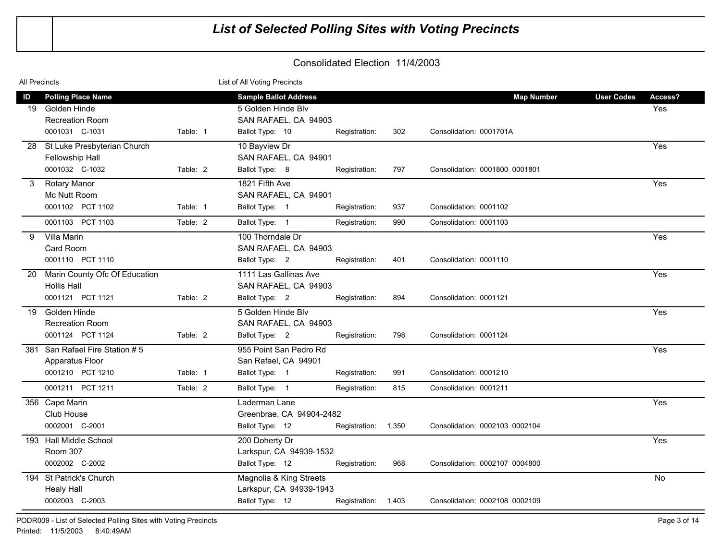| All Precincts |                                                                                       |          | List of All Voting Precincts                                                                  |                     |     |                                              |                                     |
|---------------|---------------------------------------------------------------------------------------|----------|-----------------------------------------------------------------------------------------------|---------------------|-----|----------------------------------------------|-------------------------------------|
| ID<br>19      | <b>Polling Place Name</b><br>Golden Hinde<br><b>Recreation Room</b><br>0001031 C-1031 | Table: 1 | <b>Sample Ballot Address</b><br>5 Golden Hinde Blv<br>SAN RAFAEL, CA 94903<br>Ballot Type: 10 | Registration:       | 302 | <b>Map Number</b><br>Consolidation: 0001701A | <b>User Codes</b><br>Access?<br>Yes |
| 28            | St Luke Presbyterian Church<br>Fellowship Hall<br>0001032 C-1032                      | Table: 2 | 10 Bayview Dr<br>SAN RAFAEL, CA 94901<br>Ballot Type: 8                                       | Registration:       | 797 | Consolidation: 0001800 0001801               | Yes                                 |
| 3             | <b>Rotary Manor</b><br>Mc Nutt Room<br>0001102 PCT 1102                               | Table: 1 | 1821 Fifth Ave<br>SAN RAFAEL, CA 94901<br>Ballot Type: 1                                      | Registration:       | 937 | Consolidation: 0001102                       | Yes                                 |
|               | 0001103 PCT 1103                                                                      | Table: 2 | Ballot Type: 1                                                                                | Registration:       | 990 | Consolidation: 0001103                       |                                     |
| 9             | Villa Marin<br>Card Room<br>0001110 PCT 1110                                          |          | 100 Thorndale Dr<br>SAN RAFAEL, CA 94903<br>Ballot Type: 2                                    | Registration:       | 401 | Consolidation: 0001110                       | Yes                                 |
| 20            | Marin County Ofc Of Education<br><b>Hollis Hall</b><br>0001121 PCT 1121               | Table: 2 | 1111 Las Gallinas Ave<br>SAN RAFAEL, CA 94903<br>Ballot Type: 2                               | Registration:       | 894 | Consolidation: 0001121                       | Yes                                 |
| 19            | Golden Hinde<br><b>Recreation Room</b><br>0001124 PCT 1124                            | Table: 2 | 5 Golden Hinde Blv<br>SAN RAFAEL, CA 94903<br>Ballot Type: 2                                  | Registration:       | 798 | Consolidation: 0001124                       | Yes                                 |
|               | 381 San Rafael Fire Station #5<br>Apparatus Floor<br>0001210 PCT 1210                 | Table: 1 | 955 Point San Pedro Rd<br>San Rafael, CA 94901<br>Ballot Type: 1                              | Registration:       | 991 | Consolidation: 0001210                       | Yes                                 |
|               | 0001211 PCT 1211                                                                      | Table: 2 | Ballot Type: 1                                                                                | Registration:       | 815 | Consolidation: 0001211                       |                                     |
|               | 356 Cape Marin<br>Club House<br>0002001 C-2001                                        |          | Laderman Lane<br>Greenbrae, CA 94904-2482<br>Ballot Type: 12                                  | Registration: 1,350 |     | Consolidation: 0002103 0002104               | Yes                                 |
|               | 193 Hall Middle School<br>Room 307<br>0002002 C-2002                                  |          | 200 Doherty Dr<br>Larkspur, CA 94939-1532<br>Ballot Type: 12                                  | Registration:       | 968 | Consolidation: 0002107 0004800               | Yes                                 |
|               | 194 St Patrick's Church<br><b>Healy Hall</b><br>0002003 C-2003                        |          | Magnolia & King Streets<br>Larkspur, CA 94939-1943<br>Ballot Type: 12                         | Registration: 1,403 |     | Consolidation: 0002108 0002109               | No.                                 |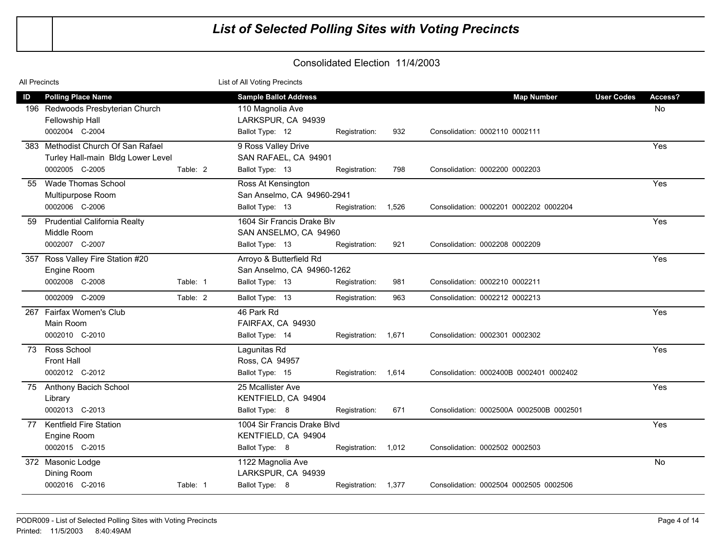| <b>All Precincts</b> |                                                                                                    |          | List of All Voting Precincts                                                              |                     |     |                                                     |                   |               |
|----------------------|----------------------------------------------------------------------------------------------------|----------|-------------------------------------------------------------------------------------------|---------------------|-----|-----------------------------------------------------|-------------------|---------------|
| ID                   | <b>Polling Place Name</b><br>196 Redwoods Presbyterian Church<br>Fellowship Hall<br>0002004 C-2004 |          | <b>Sample Ballot Address</b><br>110 Magnolia Ave<br>LARKSPUR, CA 94939<br>Ballot Type: 12 | Registration:       | 932 | <b>Map Number</b><br>Consolidation: 0002110 0002111 | <b>User Codes</b> | Access?<br>No |
|                      | 383 Methodist Church Of San Rafael<br>Turley Hall-main Bldg Lower Level<br>0002005 C-2005          | Table: 2 | 9 Ross Valley Drive<br>SAN RAFAEL, CA 94901<br>Ballot Type: 13                            | Registration:       | 798 | Consolidation: 0002200 0002203                      |                   | Yes           |
| 55                   | Wade Thomas School<br>Multipurpose Room<br>0002006 C-2006                                          |          | Ross At Kensington<br>San Anselmo, CA 94960-2941<br>Ballot Type: 13                       | Registration: 1,526 |     | Consolidation: 0002201 0002202 0002204              |                   | Yes           |
| 59                   | <b>Prudential California Realty</b><br>Middle Room<br>0002007 C-2007                               |          | 1604 Sir Francis Drake Blv<br>SAN ANSELMO, CA 94960<br>Ballot Type: 13                    | Registration:       | 921 | Consolidation: 0002208 0002209                      |                   | Yes           |
|                      | 357 Ross Valley Fire Station #20<br>Engine Room<br>0002008 C-2008                                  | Table: 1 | Arroyo & Butterfield Rd<br>San Anselmo, CA 94960-1262<br>Ballot Type: 13                  | Registration:       | 981 | Consolidation: 0002210 0002211                      |                   | Yes           |
|                      | 0002009 C-2009                                                                                     | Table: 2 | Ballot Type: 13                                                                           | Registration:       | 963 | Consolidation: 0002212 0002213                      |                   |               |
| 267                  | Fairfax Women's Club<br>Main Room<br>0002010 C-2010                                                |          | 46 Park Rd<br>FAIRFAX, CA 94930<br>Ballot Type: 14                                        | Registration: 1,671 |     | Consolidation: 0002301 0002302                      |                   | Yes           |
| 73                   | Ross School<br><b>Front Hall</b><br>0002012 C-2012                                                 |          | Lagunitas Rd<br>Ross, CA 94957<br>Ballot Type: 15                                         | Registration: 1,614 |     | Consolidation: 0002400B 0002401 0002402             |                   | Yes           |
|                      | 75 Anthony Bacich School<br>Library<br>0002013 C-2013                                              |          | 25 Mcallister Ave<br>KENTFIELD, CA 94904<br>Ballot Type: 8                                | Registration:       | 671 | Consolidation: 0002500A 0002500B 0002501            |                   | Yes           |
| 77                   | Kentfield Fire Station<br>Engine Room<br>0002015 C-2015                                            |          | 1004 Sir Francis Drake Blvd<br>KENTFIELD, CA 94904<br>Ballot Type: 8                      | Registration: 1,012 |     | Consolidation: 0002502 0002503                      |                   | Yes           |
|                      | 372 Masonic Lodge<br>Dining Room<br>0002016 C-2016                                                 | Table: 1 | 1122 Magnolia Ave<br>LARKSPUR, CA 94939<br>Ballot Type: 8                                 | Registration: 1,377 |     | Consolidation: 0002504 0002505 0002506              |                   | <b>No</b>     |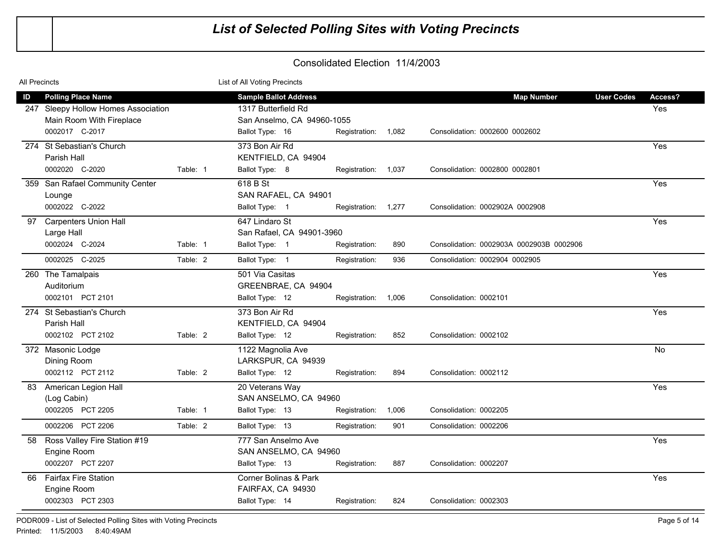| <b>All Precincts</b> |                                                                                              |          | List of All Voting Precincts                                                      |                     |       |                                          |                   |                |
|----------------------|----------------------------------------------------------------------------------------------|----------|-----------------------------------------------------------------------------------|---------------------|-------|------------------------------------------|-------------------|----------------|
| ID                   | <b>Polling Place Name</b><br>247 Sleepy Hollow Homes Association<br>Main Room With Fireplace |          | <b>Sample Ballot Address</b><br>1317 Butterfield Rd<br>San Anselmo, CA 94960-1055 |                     |       | <b>Map Number</b>                        | <b>User Codes</b> | Access?<br>Yes |
|                      | 0002017 C-2017                                                                               |          | Ballot Type: 16                                                                   | Registration: 1,082 |       | Consolidation: 0002600 0002602           |                   |                |
|                      | 274 St Sebastian's Church<br>Parish Hall<br>0002020 C-2020                                   |          | 373 Bon Air Rd<br>KENTFIELD, CA 94904                                             |                     |       | Consolidation: 0002800 0002801           |                   | Yes            |
|                      | 359 San Rafael Community Center                                                              | Table: 1 | Ballot Type: 8<br>618 B St                                                        | Registration: 1,037 |       |                                          |                   | Yes            |
|                      | Lounge                                                                                       |          | SAN RAFAEL, CA 94901                                                              |                     |       |                                          |                   |                |
|                      | 0002022 C-2022                                                                               |          | Ballot Type: 1                                                                    | Registration: 1,277 |       | Consolidation: 0002902A 0002908          |                   |                |
| 97                   | <b>Carpenters Union Hall</b><br>Large Hall                                                   |          | 647 Lindaro St<br>San Rafael, CA 94901-3960                                       |                     |       |                                          |                   | Yes            |
|                      | 0002024 C-2024                                                                               | Table: 1 | Ballot Type: 1                                                                    | Registration:       | 890   | Consolidation: 0002903A 0002903B 0002906 |                   |                |
|                      | 0002025 C-2025                                                                               | Table: 2 | Ballot Type: 1                                                                    | Registration:       | 936   | Consolidation: 0002904 0002905           |                   |                |
|                      | 260 The Tamalpais<br>Auditorium                                                              |          | 501 Via Casitas<br>GREENBRAE, CA 94904                                            |                     |       |                                          |                   | Yes            |
|                      | 0002101 PCT 2101                                                                             |          | Ballot Type: 12                                                                   | Registration: 1,006 |       | Consolidation: 0002101                   |                   |                |
|                      | 274 St Sebastian's Church<br>Parish Hall                                                     |          | 373 Bon Air Rd<br>KENTFIELD, CA 94904                                             |                     |       |                                          |                   | Yes            |
|                      | 0002102 PCT 2102                                                                             | Table: 2 | Ballot Type: 12                                                                   | Registration:       | 852   | Consolidation: 0002102                   |                   |                |
|                      | 372 Masonic Lodge<br>Dining Room                                                             |          | 1122 Magnolia Ave<br>LARKSPUR, CA 94939                                           |                     |       |                                          |                   | No             |
|                      | 0002112 PCT 2112                                                                             | Table: 2 | Ballot Type: 12                                                                   | Registration:       | 894   | Consolidation: 0002112                   |                   |                |
| 83                   | American Legion Hall<br>(Log Cabin)                                                          |          | 20 Veterans Way<br>SAN ANSELMO, CA 94960                                          |                     |       |                                          |                   | Yes            |
|                      | 0002205 PCT 2205                                                                             | Table: 1 | Ballot Type: 13                                                                   | Registration:       | 1,006 | Consolidation: 0002205                   |                   |                |
|                      | 0002206 PCT 2206                                                                             | Table: 2 | Ballot Type: 13                                                                   | Registration:       | 901   | Consolidation: 0002206                   |                   |                |
| 58                   | Ross Valley Fire Station #19<br>Engine Room                                                  |          | 777 San Anselmo Ave<br>SAN ANSELMO, CA 94960                                      |                     |       |                                          |                   | Yes            |
|                      | 0002207 PCT 2207                                                                             |          | Ballot Type: 13                                                                   | Registration:       | 887   | Consolidation: 0002207                   |                   |                |
|                      | 66 Fairfax Fire Station<br>Engine Room                                                       |          | Corner Bolinas & Park<br>FAIRFAX, CA 94930                                        |                     |       |                                          |                   | Yes            |
|                      | 0002303 PCT 2303                                                                             |          | Ballot Type: 14                                                                   | Registration:       | 824   | Consolidation: 0002303                   |                   |                |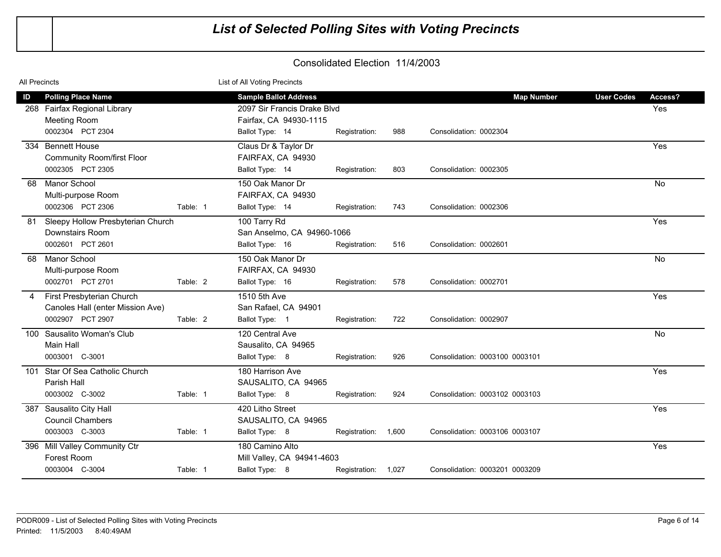| <b>All Precincts</b> |                                                                                   |          | List of All Voting Precincts                                                          |                     |       |                                |                   |                |
|----------------------|-----------------------------------------------------------------------------------|----------|---------------------------------------------------------------------------------------|---------------------|-------|--------------------------------|-------------------|----------------|
| ID                   | <b>Polling Place Name</b><br>268 Fairfax Regional Library<br><b>Meeting Room</b>  |          | <b>Sample Ballot Address</b><br>2097 Sir Francis Drake Blvd<br>Fairfax, CA 94930-1115 |                     |       | <b>Map Number</b>              | <b>User Codes</b> | Access?<br>Yes |
|                      | 0002304 PCT 2304<br>334 Bennett House                                             |          | Ballot Type: 14<br>Claus Dr & Taylor Dr                                               | Registration:       | 988   | Consolidation: 0002304         |                   | Yes            |
|                      | <b>Community Room/first Floor</b><br>0002305 PCT 2305                             |          | FAIRFAX, CA 94930<br>Ballot Type: 14                                                  | Registration:       | 803   | Consolidation: 0002305         |                   |                |
| 68                   | Manor School<br>Multi-purpose Room                                                |          | 150 Oak Manor Dr<br>FAIRFAX, CA 94930                                                 |                     |       |                                |                   | No             |
| 81                   | 0002306 PCT 2306<br>Sleepy Hollow Presbyterian Church                             | Table: 1 | Ballot Type: 14<br>100 Tarry Rd                                                       | Registration:       | 743   | Consolidation: 0002306         |                   | Yes            |
|                      | Downstairs Room<br>0002601 PCT 2601                                               |          | San Anselmo, CA 94960-1066<br>Ballot Type: 16                                         | Registration:       | 516   | Consolidation: 0002601         |                   |                |
| 68                   | <b>Manor School</b><br>Multi-purpose Room                                         |          | 150 Oak Manor Dr<br>FAIRFAX, CA 94930                                                 |                     |       |                                |                   | <b>No</b>      |
|                      | 0002701 PCT 2701                                                                  | Table: 2 | Ballot Type: 16                                                                       | Registration:       | 578   | Consolidation: 0002701         |                   |                |
| 4                    | First Presbyterian Church<br>Canoles Hall (enter Mission Ave)<br>0002907 PCT 2907 | Table: 2 | 1510 5th Ave<br>San Rafael, CA 94901<br>Ballot Type: 1                                | Registration:       | 722   | Consolidation: 0002907         |                   | Yes            |
|                      | 100 Sausalito Woman's Club<br>Main Hall                                           |          | 120 Central Ave<br>Sausalito, CA 94965                                                |                     |       |                                |                   | <b>No</b>      |
|                      | 0003001 C-3001                                                                    |          | Ballot Type: 8                                                                        | Registration:       | 926   | Consolidation: 0003100 0003101 |                   |                |
|                      | 101 Star Of Sea Catholic Church<br>Parish Hall                                    |          | 180 Harrison Ave<br>SAUSALITO, CA 94965                                               |                     |       |                                |                   | Yes            |
|                      | 0003002 C-3002                                                                    | Table: 1 | Ballot Type: 8                                                                        | Registration:       | 924   | Consolidation: 0003102 0003103 |                   |                |
|                      | 387 Sausalito City Hall<br><b>Council Chambers</b>                                |          | 420 Litho Street<br>SAUSALITO, CA 94965                                               |                     |       |                                |                   | Yes            |
|                      | 0003003 C-3003                                                                    | Table: 1 | Ballot Type: 8                                                                        | Registration:       | 1,600 | Consolidation: 0003106 0003107 |                   |                |
|                      | 396 Mill Valley Community Ctr<br>Forest Room                                      |          | 180 Camino Alto<br>Mill Valley, CA 94941-4603                                         |                     |       |                                |                   | Yes            |
|                      | 0003004 C-3004                                                                    | Table: 1 | Ballot Type: 8                                                                        | Registration: 1,027 |       | Consolidation: 0003201 0003209 |                   |                |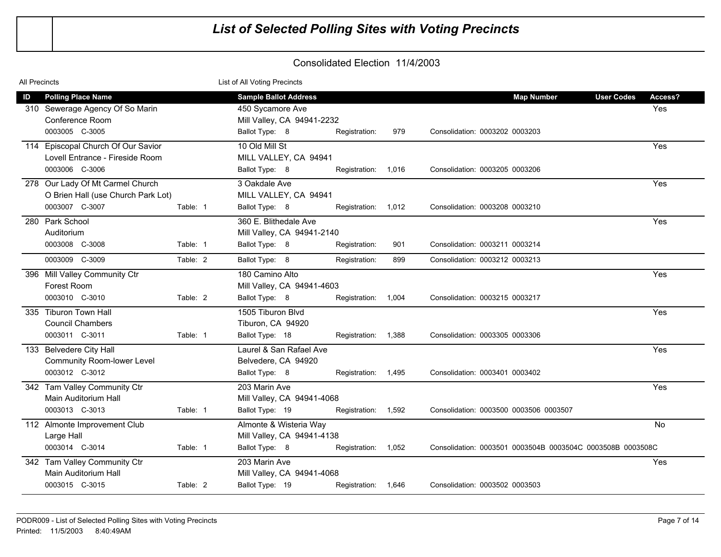| <b>All Precincts</b>                            |                                                                        |          | List of All Voting Precincts                                           |                     |     |                                                            |                   |           |
|-------------------------------------------------|------------------------------------------------------------------------|----------|------------------------------------------------------------------------|---------------------|-----|------------------------------------------------------------|-------------------|-----------|
| ID                                              | <b>Polling Place Name</b>                                              |          | <b>Sample Ballot Address</b>                                           |                     |     | <b>Map Number</b>                                          | <b>User Codes</b> | Access?   |
| 0003005 C-3005                                  | 310 Sewerage Agency Of So Marin<br>Conference Room                     |          | 450 Sycamore Ave<br>Mill Valley, CA 94941-2232<br>Ballot Type: 8       | Registration:       | 979 | Consolidation: 0003202 0003203                             |                   | Yes       |
| 0003006 C-3006                                  | 114 Episcopal Church Of Our Savior<br>Lovell Entrance - Fireside Room  |          | 10 Old Mill St<br>MILL VALLEY, CA 94941<br>Ballot Type: 8              | Registration: 1,016 |     | Consolidation: 0003205 0003206                             |                   | Yes       |
| 0003007 C-3007                                  | 278 Our Lady Of Mt Carmel Church<br>O Brien Hall (use Church Park Lot) | Table: 1 | 3 Oakdale Ave<br>MILL VALLEY, CA 94941<br>Ballot Type: 8               | Registration: 1,012 |     | Consolidation: 0003208 0003210                             |                   | Yes       |
| 280 Park School<br>Auditorium<br>0003008 C-3008 |                                                                        | Table: 1 | 360 E. Blithedale Ave<br>Mill Valley, CA 94941-2140<br>Ballot Type: 8  | Registration:       | 901 | Consolidation: 0003211 0003214                             |                   | Yes       |
| 0003009 C-3009                                  |                                                                        | Table: 2 | Ballot Type: 8                                                         | Registration:       | 899 | Consolidation: 0003212 0003213                             |                   |           |
| Forest Room<br>0003010 C-3010                   | 396 Mill Valley Community Ctr                                          | Table: 2 | 180 Camino Alto<br>Mill Valley, CA 94941-4603<br>Ballot Type: 8        | Registration: 1,004 |     | Consolidation: 0003215 0003217                             |                   | Yes       |
| 335 Tiburon Town Hall<br>0003011 C-3011         | <b>Council Chambers</b>                                                | Table: 1 | 1505 Tiburon Blvd<br>Tiburon, CA 94920<br>Ballot Type: 18              | Registration: 1,388 |     | Consolidation: 0003305 0003306                             |                   | Yes       |
| 133 Belvedere City Hall<br>0003012 C-3012       | <b>Community Room-lower Level</b>                                      |          | Laurel & San Rafael Ave<br>Belvedere, CA 94920<br>Ballot Type: 8       | Registration: 1,495 |     | Consolidation: 0003401 0003402                             |                   | Yes       |
| 0003013 C-3013                                  | 342 Tam Valley Community Ctr<br>Main Auditorium Hall                   | Table: 1 | 203 Marin Ave<br>Mill Valley, CA 94941-4068<br>Ballot Type: 19         | Registration: 1,592 |     | Consolidation: 0003500 0003506 0003507                     |                   | Yes       |
| Large Hall<br>0003014 C-3014                    | 112 Almonte Improvement Club                                           | Table: 1 | Almonte & Wisteria Way<br>Mill Valley, CA 94941-4138<br>Ballot Type: 8 | Registration: 1,052 |     | Consolidation: 0003501 0003504B 0003504C 0003508B 0003508C |                   | <b>No</b> |
| 0003015 C-3015                                  | 342 Tam Valley Community Ctr<br>Main Auditorium Hall                   | Table: 2 | 203 Marin Ave<br>Mill Valley, CA 94941-4068<br>Ballot Type: 19         | Registration: 1,646 |     | Consolidation: 0003502 0003503                             |                   | Yes       |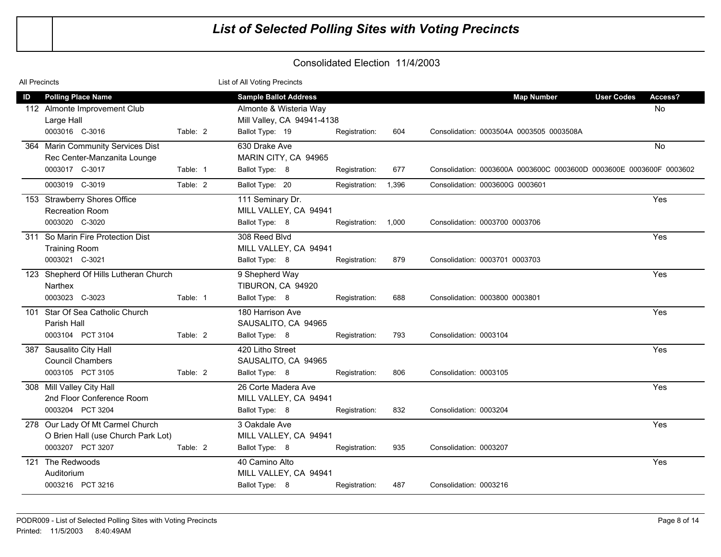| All Precincts |                                                                        |          | List of All Voting Precincts                              |                     |       |                                                                     |                              |
|---------------|------------------------------------------------------------------------|----------|-----------------------------------------------------------|---------------------|-------|---------------------------------------------------------------------|------------------------------|
| ID            | <b>Polling Place Name</b>                                              |          | <b>Sample Ballot Address</b>                              |                     |       | <b>Map Number</b>                                                   | <b>User Codes</b><br>Access? |
|               | 112 Almonte Improvement Club<br>Large Hall                             |          | Almonte & Wisteria Way<br>Mill Valley, CA 94941-4138      |                     |       |                                                                     | <b>No</b>                    |
|               | 0003016 C-3016                                                         | Table: 2 | Ballot Type: 19                                           | Registration:       | 604   | Consolidation: 0003504A 0003505 0003508A                            |                              |
|               | 364 Marin Community Services Dist<br>Rec Center-Manzanita Lounge       |          | 630 Drake Ave<br>MARIN CITY, CA 94965                     |                     |       |                                                                     | <b>No</b>                    |
|               | 0003017 C-3017                                                         | Table: 1 | Ballot Type: 8                                            | Registration:       | 677   | Consolidation: 0003600A 0003600C 0003600D 0003600E 0003600F 0003602 |                              |
|               | 0003019 C-3019                                                         | Table: 2 | Ballot Type: 20                                           | Registration:       | 1,396 | Consolidation: 0003600G 0003601                                     |                              |
|               | 153 Strawberry Shores Office<br>Recreation Room                        |          | 111 Seminary Dr.<br>MILL VALLEY, CA 94941                 |                     |       |                                                                     | Yes                          |
|               | 0003020 C-3020                                                         |          | Ballot Type: 8                                            | Registration: 1,000 |       | Consolidation: 0003700 0003706                                      |                              |
|               | 311 So Marin Fire Protection Dist<br><b>Training Room</b>              |          | 308 Reed Blvd<br>MILL VALLEY, CA 94941                    |                     |       |                                                                     | Yes                          |
|               | 0003021 C-3021                                                         |          | Ballot Type: 8                                            | Registration:       | 879   | Consolidation: 0003701 0003703                                      |                              |
|               | 123 Shepherd Of Hills Lutheran Church<br>Narthex                       |          | 9 Shepherd Way<br>TIBURON, CA 94920                       |                     |       |                                                                     | Yes                          |
|               | 0003023 C-3023                                                         | Table: 1 | Ballot Type: 8                                            | Registration:       | 688   | Consolidation: 0003800 0003801                                      |                              |
|               | 101 Star Of Sea Catholic Church<br>Parish Hall                         |          | 180 Harrison Ave<br>SAUSALITO, CA 94965                   |                     |       |                                                                     | Yes                          |
|               | 0003104 PCT 3104                                                       | Table: 2 | Ballot Type: 8                                            | Registration:       | 793   | Consolidation: 0003104                                              |                              |
| 387           | Sausalito City Hall<br><b>Council Chambers</b><br>0003105 PCT 3105     | Table: 2 | 420 Litho Street<br>SAUSALITO, CA 94965<br>Ballot Type: 8 | Registration:       | 806   | Consolidation: 0003105                                              | Yes                          |
|               | 308 Mill Valley City Hall<br>2nd Floor Conference Room                 |          | 26 Corte Madera Ave                                       |                     |       |                                                                     | Yes                          |
|               | 0003204 PCT 3204                                                       |          | MILL VALLEY, CA 94941<br>Ballot Type: 8                   | Registration:       | 832   | Consolidation: 0003204                                              |                              |
|               | 278 Our Lady Of Mt Carmel Church<br>O Brien Hall (use Church Park Lot) |          | 3 Oakdale Ave<br>MILL VALLEY, CA 94941                    |                     |       |                                                                     | Yes                          |
|               | 0003207 PCT 3207                                                       | Table: 2 | Ballot Type: 8                                            | Registration:       | 935   | Consolidation: 0003207                                              |                              |
| 121           | The Redwoods<br>Auditorium                                             |          | 40 Camino Alto<br>MILL VALLEY, CA 94941                   |                     |       |                                                                     | Yes                          |
|               | 0003216 PCT 3216                                                       |          | Ballot Type: 8                                            | Registration:       | 487   | Consolidation: 0003216                                              |                              |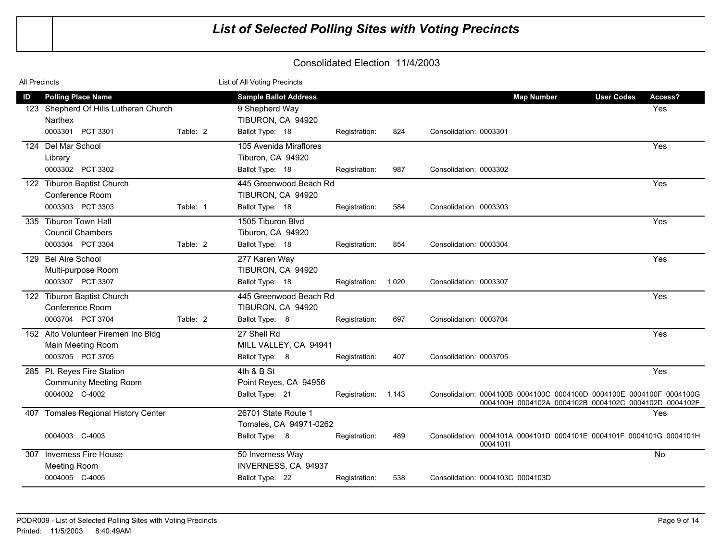| <b>All Precincts</b>                                                             | List of All Voting Precincts                                                                                     |                                                                             |
|----------------------------------------------------------------------------------|------------------------------------------------------------------------------------------------------------------|-----------------------------------------------------------------------------|
| <b>Polling Place Name</b><br>ID                                                  | <b>Sample Ballot Address</b>                                                                                     | <b>Map Number</b><br><b>User Codes</b><br>Access?                           |
| 123 Shepherd Of Hills Lutheran Church<br>Narthex                                 | 9 Shepherd Way<br>TIBURON, CA 94920                                                                              | Yes                                                                         |
| 0003301 PCT 3301<br>Table: 2                                                     | Ballot Type: 18<br>Registration:<br>824<br>Consolidation: 0003301                                                |                                                                             |
| 124 Del Mar School<br>Library<br>0003302 PCT 3302                                | 105 Avenida Miraflores<br>Tiburon, CA 94920<br>Ballot Type: 18<br>987<br>Consolidation: 0003302<br>Registration: | Yes                                                                         |
| 122 Tiburon Baptist Church<br>Conference Room                                    | 445 Greenwood Beach Rd<br>TIBURON, CA 94920                                                                      | Yes                                                                         |
| 0003303 PCT 3303<br>Table: 1                                                     | Ballot Type: 18<br>Registration:<br>584<br>Consolidation: 0003303                                                |                                                                             |
| 335 Tiburon Town Hall<br><b>Council Chambers</b><br>0003304 PCT 3304<br>Table: 2 | 1505 Tiburon Blvd<br>Tiburon, CA 94920<br>Ballot Type: 18<br>854<br>Registration:<br>Consolidation: 0003304      | Yes                                                                         |
| 129 Bel Aire School<br>Multi-purpose Room<br>0003307 PCT 3307                    | 277 Karen Way<br>TIBURON, CA 94920<br>Ballot Type: 18<br>1,020<br>Registration:<br>Consolidation: 0003307        | Yes                                                                         |
| 122 Tiburon Baptist Church<br>Conference Room                                    | 445 Greenwood Beach Rd<br>TIBURON, CA 94920                                                                      | Yes                                                                         |
| 0003704 PCT 3704<br>Table: 2                                                     | Ballot Type: 8<br>697<br>Consolidation: 0003704<br>Registration:                                                 |                                                                             |
| 152 Alto Volunteer Firemen Inc Bldg<br>Main Meeting Room<br>0003705 PCT 3705     | 27 Shell Rd<br>MILL VALLEY, CA 94941<br>Ballot Type: 8<br>407<br>Consolidation: 0003705<br>Registration:         | Yes                                                                         |
| 285 Pt. Reyes Fire Station<br><b>Community Meeting Room</b><br>0004002 C-4002    | 4th & B St<br>Point Reyes, CA 94956<br>Ballot Type: 21<br>Registration: 1,143                                    | Yes<br>Consolidation: 0004100B 0004100C 0004100D 0004100E 0004100F 0004100G |
| 407 Tomales Regional History Center                                              | 26701 State Route 1<br>Tomales, CA 94971-0262                                                                    | 0004100H 0004102A 0004102B 0004102C 0004102D 0004102F<br>Yes                |
| 0004003 C-4003                                                                   | Ballot Type: 8<br>489<br>Registration:<br>0004101I                                                               | Consolidation: 0004101A 0004101D 0004101E 0004101F 0004101G 0004101H        |
| Inverness Fire House<br>307<br><b>Meeting Room</b>                               | 50 Inverness Way<br>INVERNESS, CA 94937                                                                          | No                                                                          |
| 0004005 C-4005                                                                   | Ballot Type: 22<br>538<br>Registration:<br>Consolidation: 0004103C 0004103D                                      |                                                                             |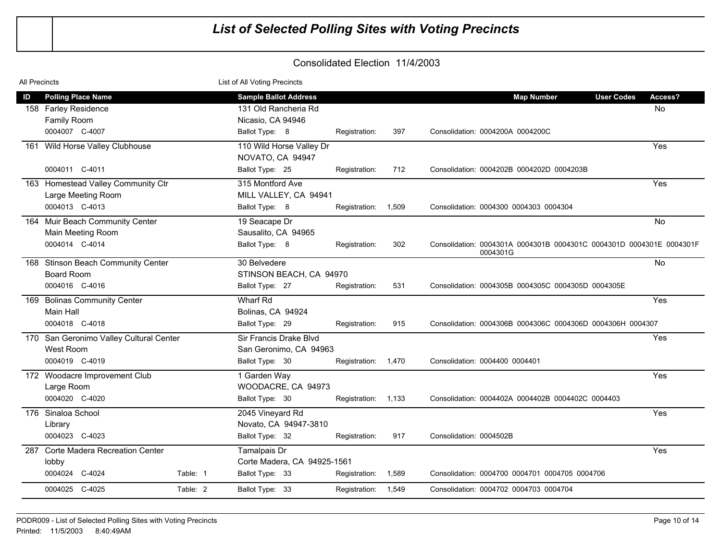| All Precincts |                                                                         |          | List of All Voting Precincts                                              |                     |       |                                                                                  |               |
|---------------|-------------------------------------------------------------------------|----------|---------------------------------------------------------------------------|---------------------|-------|----------------------------------------------------------------------------------|---------------|
| ID            | <b>Polling Place Name</b><br>158 Farley Residence<br><b>Family Room</b> |          | <b>Sample Ballot Address</b><br>131 Old Rancheria Rd<br>Nicasio, CA 94946 |                     |       | <b>Map Number</b><br><b>User Codes</b>                                           | Access?<br>No |
|               | 0004007 C-4007                                                          |          | Ballot Type: 8                                                            | Registration:       | 397   | Consolidation: 0004200A 0004200C                                                 |               |
|               | 161 Wild Horse Valley Clubhouse                                         |          | 110 Wild Horse Valley Dr<br>NOVATO, CA 94947                              |                     |       |                                                                                  | Yes           |
|               | 0004011 C-4011                                                          |          | Ballot Type: 25                                                           | Registration:       | 712   | Consolidation: 0004202B 0004202D 0004203B                                        |               |
|               | 163 Homestead Valley Community Ctr<br>Large Meeting Room                |          | 315 Montford Ave<br>MILL VALLEY, CA 94941                                 |                     |       |                                                                                  | Yes           |
|               | 0004013 C-4013                                                          |          | Ballot Type: 8                                                            | Registration:       | 1,509 | Consolidation: 0004300 0004303 0004304                                           |               |
|               | 164 Muir Beach Community Center<br>Main Meeting Room                    |          | 19 Seacape Dr<br>Sausalito, CA 94965                                      |                     |       |                                                                                  | <b>No</b>     |
|               | 0004014 C-4014                                                          |          | Ballot Type: 8                                                            | Registration:       | 302   | Consolidation: 0004301A 0004301B 0004301C 0004301D 0004301E 0004301F<br>0004301G |               |
|               | 168 Stinson Beach Community Center<br><b>Board Room</b>                 |          | 30 Belvedere<br>STINSON BEACH, CA 94970                                   |                     |       |                                                                                  | No            |
|               | 0004016 C-4016                                                          |          | Ballot Type: 27                                                           | Registration:       | 531   | Consolidation: 0004305B 0004305C 0004305D 0004305E                               |               |
|               | 169 Bolinas Community Center                                            |          | Wharf Rd                                                                  |                     |       |                                                                                  | Yes           |
|               | Main Hall<br>0004018 C-4018                                             |          | Bolinas, CA 94924<br>Ballot Type: 29                                      | Registration:       | 915   | Consolidation: 0004306B 0004306C 0004306D 0004306H 0004307                       |               |
|               | 170 San Geronimo Valley Cultural Center<br>West Room                    |          | Sir Francis Drake Blvd<br>San Geronimo, CA 94963                          |                     |       |                                                                                  | Yes           |
|               | 0004019 C-4019                                                          |          | Ballot Type: 30                                                           | Registration: 1,470 |       | Consolidation: 0004400 0004401                                                   |               |
|               | 172 Woodacre Improvement Club<br>Large Room                             |          | 1 Garden Way<br>WOODACRE, CA 94973                                        |                     |       |                                                                                  | Yes           |
|               | 0004020 C-4020                                                          |          | Ballot Type: 30                                                           | Registration: 1,133 |       | Consolidation: 0004402A 0004402B 0004402C 0004403                                |               |
|               | 176 Sinaloa School<br>Library                                           |          | 2045 Vineyard Rd<br>Novato, CA 94947-3810                                 |                     |       |                                                                                  | Yes           |
|               | 0004023 C-4023                                                          |          | Ballot Type: 32                                                           | Registration:       | 917   | Consolidation: 0004502B                                                          |               |
| 287           | <b>Corte Madera Recreation Center</b><br>lobby                          |          | Tamalpais Dr<br>Corte Madera, CA 94925-1561                               |                     |       |                                                                                  | Yes           |
|               | 0004024 C-4024                                                          | Table: 1 | Ballot Type: 33                                                           | Registration:       | 1,589 | Consolidation: 0004700 0004701 0004705 0004706                                   |               |
|               | 0004025 C-4025                                                          | Table: 2 | Ballot Type: 33                                                           | Registration:       | 1,549 | Consolidation: 0004702 0004703 0004704                                           |               |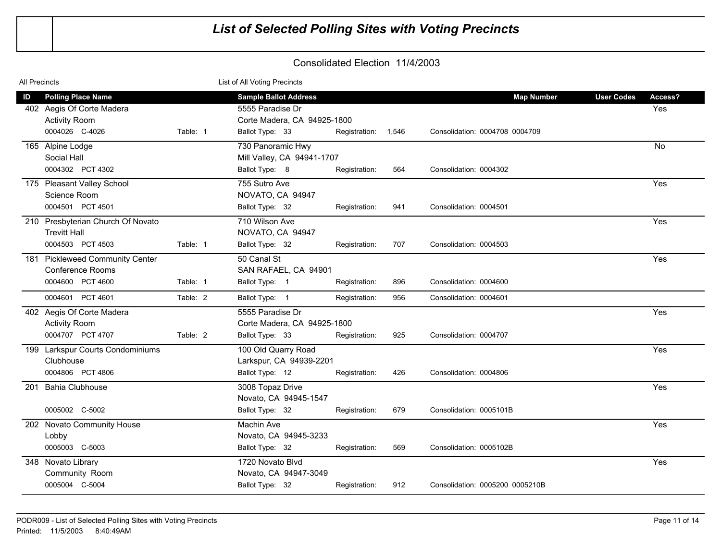| <b>All Precincts</b> |                                                                              |          | List of All Voting Precincts                                       |                     |     |                                 |                   |         |
|----------------------|------------------------------------------------------------------------------|----------|--------------------------------------------------------------------|---------------------|-----|---------------------------------|-------------------|---------|
| ID                   | <b>Polling Place Name</b>                                                    |          | <b>Sample Ballot Address</b>                                       |                     |     | <b>Map Number</b>               | <b>User Codes</b> | Access? |
|                      | 402 Aegis Of Corte Madera<br><b>Activity Room</b><br>0004026 C-4026          | Table: 1 | 5555 Paradise Dr<br>Corte Madera, CA 94925-1800<br>Ballot Type: 33 | Registration: 1,546 |     | Consolidation: 0004708 0004709  |                   | Yes     |
|                      |                                                                              |          |                                                                    |                     |     |                                 |                   |         |
|                      | 165 Alpine Lodge<br>Social Hall                                              |          | 730 Panoramic Hwy<br>Mill Valley, CA 94941-1707                    |                     |     |                                 |                   | No      |
|                      | 0004302 PCT 4302                                                             |          | Ballot Type: 8                                                     | Registration:       | 564 | Consolidation: 0004302          |                   |         |
|                      | 175 Pleasant Valley School<br>Science Room                                   |          | 755 Sutro Ave<br>NOVATO, CA 94947                                  |                     |     |                                 |                   | Yes     |
|                      | 0004501 PCT 4501                                                             |          | Ballot Type: 32                                                    | Registration:       | 941 | Consolidation: 0004501          |                   |         |
|                      | 210 Presbyterian Church Of Novato<br><b>Trevitt Hall</b><br>0004503 PCT 4503 | Table: 1 | 710 Wilson Ave<br>NOVATO, CA 94947                                 |                     | 707 | Consolidation: 0004503          |                   | Yes     |
|                      |                                                                              |          | Ballot Type: 32                                                    | Registration:       |     |                                 |                   |         |
|                      | 181 Pickleweed Community Center<br><b>Conference Rooms</b>                   |          | 50 Canal St<br>SAN RAFAEL, CA 94901                                |                     |     |                                 |                   | Yes     |
|                      | 0004600 PCT 4600                                                             | Table: 1 | Ballot Type: 1                                                     | Registration:       | 896 | Consolidation: 0004600          |                   |         |
|                      | 0004601 PCT 4601                                                             | Table: 2 | Ballot Type: 1                                                     | Registration:       | 956 | Consolidation: 0004601          |                   |         |
|                      | 402 Aegis Of Corte Madera<br><b>Activity Room</b>                            |          | 5555 Paradise Dr<br>Corte Madera, CA 94925-1800                    |                     |     |                                 |                   | Yes     |
|                      | 0004707 PCT 4707                                                             | Table: 2 | Ballot Type: 33                                                    | Registration:       | 925 | Consolidation: 0004707          |                   |         |
|                      | 199 Larkspur Courts Condominiums<br>Clubhouse                                |          | 100 Old Quarry Road<br>Larkspur, CA 94939-2201                     |                     |     |                                 |                   | Yes     |
|                      | 0004806 PCT 4806                                                             |          | Ballot Type: 12                                                    | Registration:       | 426 | Consolidation: 0004806          |                   |         |
| 201                  | <b>Bahia Clubhouse</b>                                                       |          | 3008 Topaz Drive<br>Novato, CA 94945-1547                          |                     |     |                                 |                   | Yes     |
|                      | 0005002 C-5002                                                               |          | Ballot Type: 32                                                    | Registration:       | 679 | Consolidation: 0005101B         |                   |         |
|                      | 202 Novato Community House<br>Lobby                                          |          | Machin Ave<br>Novato, CA 94945-3233                                |                     |     |                                 |                   | Yes     |
|                      | 0005003 C-5003                                                               |          | Ballot Type: 32                                                    | Registration:       | 569 | Consolidation: 0005102B         |                   |         |
|                      | 348 Novato Library<br>Community Room                                         |          | 1720 Novato Blvd<br>Novato, CA 94947-3049                          |                     |     |                                 |                   | Yes     |
|                      | 0005004 C-5004                                                               |          | Ballot Type: 32                                                    | Registration:       | 912 | Consolidation: 0005200 0005210B |                   |         |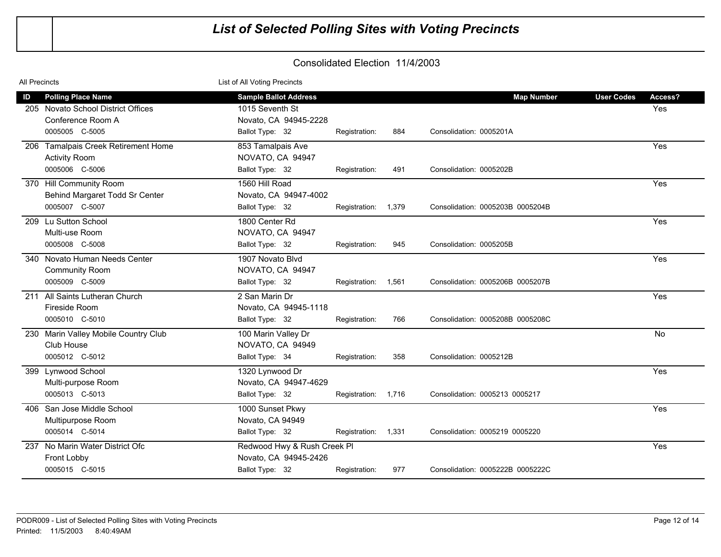| All Precincts |                                      | List of All Voting Precincts |                     |       |                                  |                   |           |
|---------------|--------------------------------------|------------------------------|---------------------|-------|----------------------------------|-------------------|-----------|
| ID            | <b>Polling Place Name</b>            | <b>Sample Ballot Address</b> |                     |       | <b>Map Number</b>                | <b>User Codes</b> | Access?   |
|               | 205 Novato School District Offices   | 1015 Seventh St              |                     |       |                                  |                   | Yes       |
|               | Conference Room A                    | Novato, CA 94945-2228        |                     |       |                                  |                   |           |
|               | 0005005 C-5005                       | Ballot Type: 32              | Registration:       | 884   | Consolidation: 0005201A          |                   |           |
|               | 206 Tamalpais Creek Retirement Home  | 853 Tamalpais Ave            |                     |       |                                  |                   | Yes       |
|               | <b>Activity Room</b>                 | NOVATO, CA 94947             |                     |       |                                  |                   |           |
|               | 0005006 C-5006                       | Ballot Type: 32              | Registration:       | 491   | Consolidation: 0005202B          |                   |           |
|               | 370 Hill Community Room              | 1560 Hill Road               |                     |       |                                  |                   | Yes       |
|               | Behind Margaret Todd Sr Center       | Novato, CA 94947-4002        |                     |       |                                  |                   |           |
|               | 0005007 C-5007                       | Ballot Type: 32              | Registration: 1,379 |       | Consolidation: 0005203B 0005204B |                   |           |
|               | 209 Lu Sutton School                 | 1800 Center Rd               |                     |       |                                  |                   | Yes       |
|               | Multi-use Room                       | NOVATO, CA 94947             |                     |       |                                  |                   |           |
|               | 0005008 C-5008                       | Ballot Type: 32              | Registration:       | 945   | Consolidation: 0005205B          |                   |           |
|               | 340 Novato Human Needs Center        | 1907 Novato Blvd             |                     |       |                                  |                   | Yes       |
|               | <b>Community Room</b>                | NOVATO, CA 94947             |                     |       |                                  |                   |           |
|               | 0005009 C-5009                       | Ballot Type: 32              | Registration:       | 1,561 | Consolidation: 0005206B 0005207B |                   |           |
|               | 211 All Saints Lutheran Church       | 2 San Marin Dr               |                     |       |                                  |                   | Yes       |
|               | Fireside Room                        | Novato, CA 94945-1118        |                     |       |                                  |                   |           |
|               | 0005010 C-5010                       | Ballot Type: 32              | Registration:       | 766   | Consolidation: 0005208B 0005208C |                   |           |
|               | 230 Marin Valley Mobile Country Club | 100 Marin Valley Dr          |                     |       |                                  |                   | <b>No</b> |
|               | Club House                           | NOVATO, CA 94949             |                     |       |                                  |                   |           |
|               | 0005012 C-5012                       | Ballot Type: 34              | Registration:       | 358   | Consolidation: 0005212B          |                   |           |
|               | 399 Lynwood School                   | 1320 Lynwood Dr              |                     |       |                                  |                   | Yes       |
|               | Multi-purpose Room                   | Novato, CA 94947-4629        |                     |       |                                  |                   |           |
|               | 0005013 C-5013                       | Ballot Type: 32              | Registration: 1,716 |       | Consolidation: 0005213 0005217   |                   |           |
|               | 406 San Jose Middle School           | 1000 Sunset Pkwy             |                     |       |                                  |                   | Yes       |
|               | Multipurpose Room                    | Novato, CA 94949             |                     |       |                                  |                   |           |
|               | 0005014 C-5014                       | Ballot Type: 32              | Registration:       | 1,331 | Consolidation: 0005219 0005220   |                   |           |
|               | 237 No Marin Water District Ofc      | Redwood Hwy & Rush Creek Pl  |                     |       |                                  |                   | Yes       |
|               | Front Lobby                          | Novato, CA 94945-2426        |                     |       |                                  |                   |           |
|               | 0005015 C-5015                       | Ballot Type: 32              | Registration:       | 977   | Consolidation: 0005222B 0005222C |                   |           |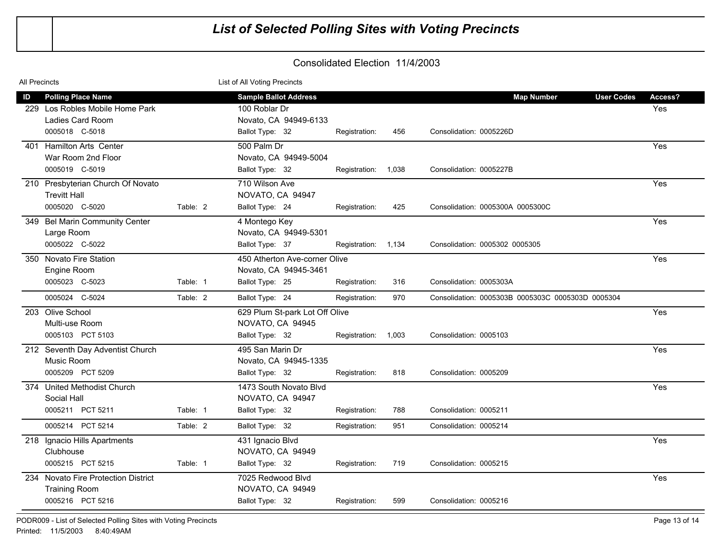| All Precincts |                                                                                                    |          | List of All Voting Precincts                                                              |                     |     |                                                                   |                |
|---------------|----------------------------------------------------------------------------------------------------|----------|-------------------------------------------------------------------------------------------|---------------------|-----|-------------------------------------------------------------------|----------------|
| ID            | <b>Polling Place Name</b><br>229 Los Robles Mobile Home Park<br>Ladies Card Room<br>0005018 C-5018 |          | <b>Sample Ballot Address</b><br>100 Roblar Dr<br>Novato, CA 94949-6133<br>Ballot Type: 32 | Registration:       | 456 | <b>Map Number</b><br><b>User Codes</b><br>Consolidation: 0005226D | Access?<br>Yes |
| 401           | <b>Hamilton Arts Center</b>                                                                        |          | 500 Palm Dr                                                                               |                     |     |                                                                   | Yes            |
|               | War Room 2nd Floor<br>0005019 C-5019                                                               |          | Novato, CA 94949-5004<br>Ballot Type: 32                                                  | Registration: 1,038 |     | Consolidation: 0005227B                                           |                |
|               | 210 Presbyterian Church Of Novato<br><b>Trevitt Hall</b>                                           |          | 710 Wilson Ave<br>NOVATO, CA 94947                                                        |                     |     |                                                                   | Yes            |
|               | 0005020 C-5020                                                                                     | Table: 2 | Ballot Type: 24                                                                           | Registration:       | 425 | Consolidation: 0005300A 0005300C                                  |                |
|               | 349 Bel Marin Community Center<br>Large Room                                                       |          | 4 Montego Key<br>Novato, CA 94949-5301                                                    |                     |     |                                                                   | Yes            |
|               | 0005022 C-5022                                                                                     |          | Ballot Type: 37                                                                           | Registration: 1,134 |     | Consolidation: 0005302 0005305                                    |                |
|               | 350 Novato Fire Station<br>Engine Room                                                             |          | 450 Atherton Ave-corner Olive<br>Novato, CA 94945-3461                                    |                     |     |                                                                   | Yes            |
|               | 0005023 C-5023                                                                                     | Table: 1 | Ballot Type: 25                                                                           | Registration:       | 316 | Consolidation: 0005303A                                           |                |
|               | 0005024 C-5024                                                                                     | Table: 2 | Ballot Type: 24                                                                           | Registration:       | 970 | Consolidation: 0005303B 0005303C 0005303D 0005304                 |                |
|               | 203 Olive School<br>Multi-use Room                                                                 |          | 629 Plum St-park Lot Off Olive<br>NOVATO, CA 94945                                        |                     |     |                                                                   | Yes            |
|               | 0005103 PCT 5103                                                                                   |          | Ballot Type: 32                                                                           | Registration: 1,003 |     | Consolidation: 0005103                                            |                |
|               | 212 Seventh Day Adventist Church<br>Music Room                                                     |          | 495 San Marin Dr<br>Novato, CA 94945-1335                                                 |                     |     |                                                                   | Yes            |
|               | 0005209 PCT 5209                                                                                   |          | Ballot Type: 32                                                                           | Registration:       | 818 | Consolidation: 0005209                                            |                |
|               | 374 United Methodist Church<br>Social Hall                                                         |          | 1473 South Novato Blvd<br>NOVATO, CA 94947                                                |                     |     |                                                                   | Yes            |
|               | 0005211 PCT 5211                                                                                   | Table: 1 | Ballot Type: 32                                                                           | Registration:       | 788 | Consolidation: 0005211                                            |                |
|               | 0005214 PCT 5214                                                                                   | Table: 2 | Ballot Type: 32                                                                           | Registration:       | 951 | Consolidation: 0005214                                            |                |
|               | 218 Ignacio Hills Apartments<br>Clubhouse                                                          |          | 431 Ignacio Blvd<br>NOVATO, CA 94949                                                      |                     |     |                                                                   | Yes            |
|               | 0005215 PCT 5215                                                                                   | Table: 1 | Ballot Type: 32                                                                           | Registration:       | 719 | Consolidation: 0005215                                            |                |
|               | 234 Novato Fire Protection District<br><b>Training Room</b>                                        |          | 7025 Redwood Blyd<br>NOVATO, CA 94949                                                     |                     |     |                                                                   | Yes            |
|               | 0005216 PCT 5216                                                                                   |          | Ballot Type: 32                                                                           | Registration:       | 599 | Consolidation: 0005216                                            |                |